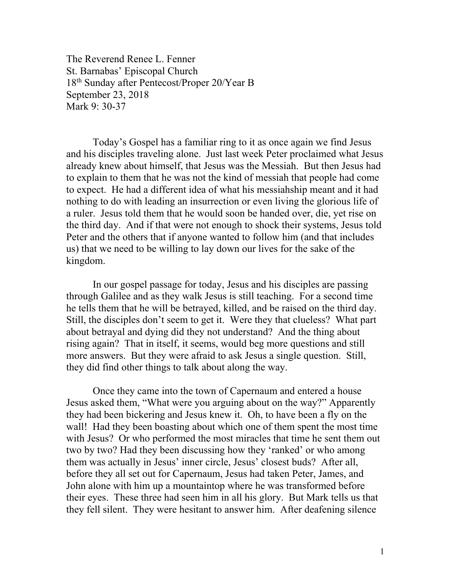The Reverend Renee L. Fenner St. Barnabas' Episcopal Church 18th Sunday after Pentecost/Proper 20/Year B September 23, 2018 Mark 9: 30-37

 Today's Gospel has a familiar ring to it as once again we find Jesus and his disciples traveling alone. Just last week Peter proclaimed what Jesus already knew about himself, that Jesus was the Messiah. But then Jesus had to explain to them that he was not the kind of messiah that people had come to expect. He had a different idea of what his messiahship meant and it had nothing to do with leading an insurrection or even living the glorious life of a ruler. Jesus told them that he would soon be handed over, die, yet rise on the third day. And if that were not enough to shock their systems, Jesus told Peter and the others that if anyone wanted to follow him (and that includes us) that we need to be willing to lay down our lives for the sake of the kingdom.

In our gospel passage for today, Jesus and his disciples are passing through Galilee and as they walk Jesus is still teaching. For a second time he tells them that he will be betrayed, killed, and be raised on the third day. Still, the disciples don't seem to get it. Were they that clueless? What part about betrayal and dying did they not understand? And the thing about rising again? That in itself, it seems, would beg more questions and still more answers. But they were afraid to ask Jesus a single question. Still, they did find other things to talk about along the way.

Once they came into the town of Capernaum and entered a house Jesus asked them, "What were you arguing about on the way?" Apparently they had been bickering and Jesus knew it. Oh, to have been a fly on the wall! Had they been boasting about which one of them spent the most time with Jesus? Or who performed the most miracles that time he sent them out two by two? Had they been discussing how they 'ranked' or who among them was actually in Jesus' inner circle, Jesus' closest buds? After all, before they all set out for Capernaum, Jesus had taken Peter, James, and John alone with him up a mountaintop where he was transformed before their eyes. These three had seen him in all his glory. But Mark tells us that they fell silent. They were hesitant to answer him. After deafening silence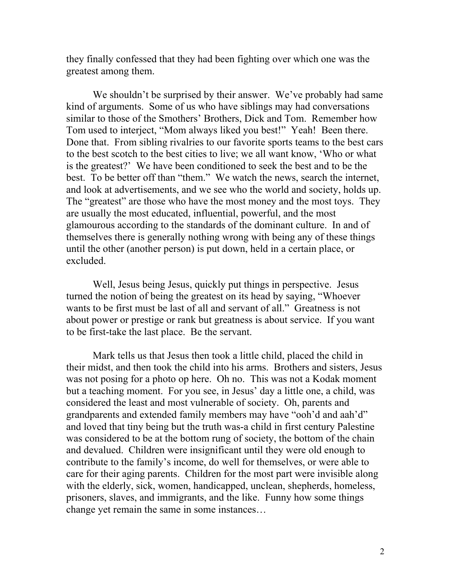they finally confessed that they had been fighting over which one was the greatest among them.

We shouldn't be surprised by their answer. We've probably had same kind of arguments. Some of us who have siblings may had conversations similar to those of the Smothers' Brothers, Dick and Tom. Remember how Tom used to interject, "Mom always liked you best!" Yeah! Been there. Done that. From sibling rivalries to our favorite sports teams to the best cars to the best scotch to the best cities to live; we all want know, 'Who or what is the greatest?' We have been conditioned to seek the best and to be the best. To be better off than "them." We watch the news, search the internet, and look at advertisements, and we see who the world and society, holds up. The "greatest" are those who have the most money and the most toys. They are usually the most educated, influential, powerful, and the most glamourous according to the standards of the dominant culture. In and of themselves there is generally nothing wrong with being any of these things until the other (another person) is put down, held in a certain place, or excluded.

 Well, Jesus being Jesus, quickly put things in perspective. Jesus turned the notion of being the greatest on its head by saying, "Whoever wants to be first must be last of all and servant of all." Greatness is not about power or prestige or rank but greatness is about service. If you want to be first-take the last place. Be the servant.

 Mark tells us that Jesus then took a little child, placed the child in their midst, and then took the child into his arms. Brothers and sisters, Jesus was not posing for a photo op here. Oh no. This was not a Kodak moment but a teaching moment. For you see, in Jesus' day a little one, a child, was considered the least and most vulnerable of society. Oh, parents and grandparents and extended family members may have "ooh'd and aah'd" and loved that tiny being but the truth was-a child in first century Palestine was considered to be at the bottom rung of society, the bottom of the chain and devalued. Children were insignificant until they were old enough to contribute to the family's income, do well for themselves, or were able to care for their aging parents. Children for the most part were invisible along with the elderly, sick, women, handicapped, unclean, shepherds, homeless, prisoners, slaves, and immigrants, and the like. Funny how some things change yet remain the same in some instances…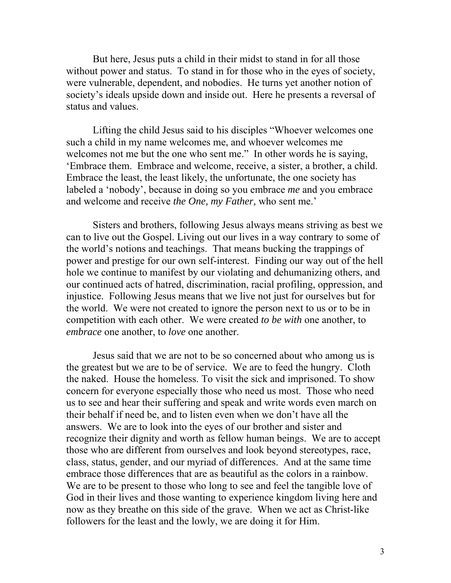But here, Jesus puts a child in their midst to stand in for all those without power and status. To stand in for those who in the eyes of society, were vulnerable, dependent, and nobodies. He turns yet another notion of society's ideals upside down and inside out. Here he presents a reversal of status and values.

Lifting the child Jesus said to his disciples "Whoever welcomes one such a child in my name welcomes me, and whoever welcomes me welcomes not me but the one who sent me." In other words he is saying, 'Embrace them. Embrace and welcome, receive, a sister, a brother, a child. Embrace the least, the least likely, the unfortunate, the one society has labeled a 'nobody', because in doing so you embrace *me* and you embrace and welcome and receive *the One, my Father,* who sent me.'

 Sisters and brothers, following Jesus always means striving as best we can to live out the Gospel. Living out our lives in a way contrary to some of the world's notions and teachings. That means bucking the trappings of power and prestige for our own self-interest. Finding our way out of the hell hole we continue to manifest by our violating and dehumanizing others, and our continued acts of hatred, discrimination, racial profiling, oppression, and injustice. Following Jesus means that we live not just for ourselves but for the world. We were not created to ignore the person next to us or to be in competition with each other. We were created *to be with* one another, to *embrace* one another, to *love* one another.

Jesus said that we are not to be so concerned about who among us is the greatest but we are to be of service. We are to feed the hungry. Cloth the naked. House the homeless. To visit the sick and imprisoned. To show concern for everyone especially those who need us most. Those who need us to see and hear their suffering and speak and write words even march on their behalf if need be, and to listen even when we don't have all the answers. We are to look into the eyes of our brother and sister and recognize their dignity and worth as fellow human beings. We are to accept those who are different from ourselves and look beyond stereotypes, race, class, status, gender, and our myriad of differences. And at the same time embrace those differences that are as beautiful as the colors in a rainbow. We are to be present to those who long to see and feel the tangible love of God in their lives and those wanting to experience kingdom living here and now as they breathe on this side of the grave. When we act as Christ-like followers for the least and the lowly, we are doing it for Him.